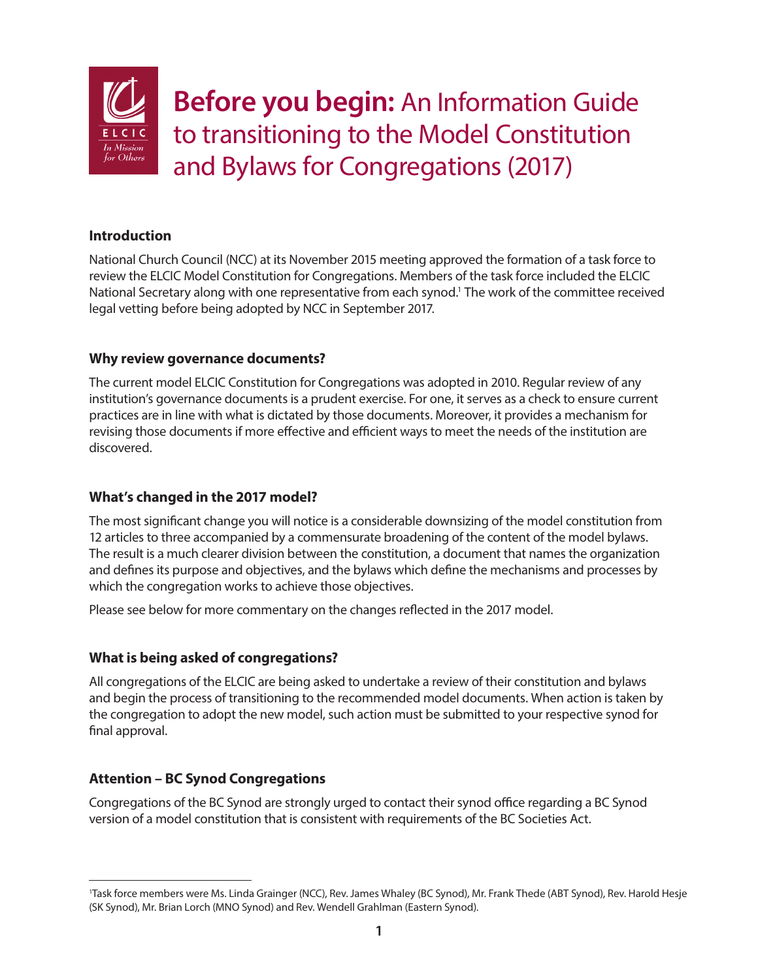

**Before you begin:** An Information Guide to transitioning to the Model Constitution and Bylaws for Congregations (2017)

## **Introduction**

National Church Council (NCC) at its November 2015 meeting approved the formation of a task force to review the ELCIC Model Constitution for Congregations. Members of the task force included the ELCIC National Secretary along with one representative from each synod.<sup>1</sup> The work of the committee received legal vetting before being adopted by NCC in September 2017.

# **Why review governance documents?**

The current model ELCIC Constitution for Congregations was adopted in 2010. Regular review of any institution's governance documents is a prudent exercise. For one, it serves as a check to ensure current practices are in line with what is dictated by those documents. Moreover, it provides a mechanism for revising those documents if more effective and efficient ways to meet the needs of the institution are discovered.

# **What's changed in the 2017 model?**

The most significant change you will notice is a considerable downsizing of the model constitution from 12 articles to three accompanied by a commensurate broadening of the content of the model bylaws. The result is a much clearer division between the constitution, a document that names the organization and defines its purpose and objectives, and the bylaws which define the mechanisms and processes by which the congregation works to achieve those objectives.

Please see below for more commentary on the changes reflected in the 2017 model.

# **What is being asked of congregations?**

All congregations of the ELCIC are being asked to undertake a review of their constitution and bylaws and begin the process of transitioning to the recommended model documents. When action is taken by the congregation to adopt the new model, such action must be submitted to your respective synod for final approval.

# **Attention – BC Synod Congregations**

Congregations of the BC Synod are strongly urged to contact their synod office regarding a BC Synod version of a model constitution that is consistent with requirements of the BC Societies Act.

<sup>1</sup> Task force members were Ms. Linda Grainger (NCC), Rev. James Whaley (BC Synod), Mr. Frank Thede (ABT Synod), Rev. Harold Hesje (SK Synod), Mr. Brian Lorch (MNO Synod) and Rev. Wendell Grahlman (Eastern Synod).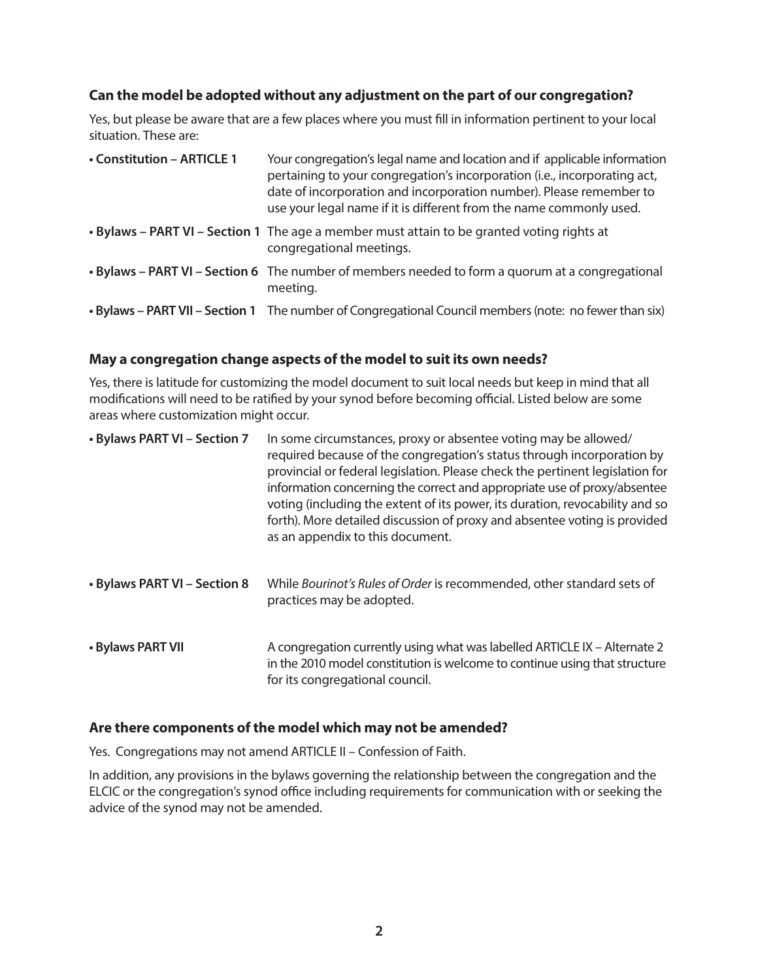### **Can the model be adopted without any adjustment on the part of our congregation?**

Yes, but please be aware that are a few places where you must fill in information pertinent to your local situation. These are:

| • Constitution - ARTICLE 1 | Your congregation's legal name and location and if applicable information<br>pertaining to your congregation's incorporation (i.e., incorporating act,<br>date of incorporation and incorporation number). Please remember to<br>use your legal name if it is different from the name commonly used. |
|----------------------------|------------------------------------------------------------------------------------------------------------------------------------------------------------------------------------------------------------------------------------------------------------------------------------------------------|
|                            | . Bylaws - PART VI - Section 1 The age a member must attain to be granted voting rights at<br>congregational meetings.                                                                                                                                                                               |
|                            | • Bylaws – PART VI – Section 6 The number of members needed to form a quorum at a congregational<br>meeting.                                                                                                                                                                                         |
|                            | • Bylaws – PART VII – Section 1 The number of Congregational Council members (note: no fewer than six)                                                                                                                                                                                               |

#### **May a congregation change aspects of the model to suit its own needs?**

Yes, there is latitude for customizing the model document to suit local needs but keep in mind that all modifications will need to be ratified by your synod before becoming official. Listed below are some areas where customization might occur.

| • Bylaws PART VI - Section 7 | In some circumstances, proxy or absentee voting may be allowed/<br>required because of the congregation's status through incorporation by<br>provincial or federal legislation. Please check the pertinent legislation for<br>information concerning the correct and appropriate use of proxy/absentee<br>voting (including the extent of its power, its duration, revocability and so<br>forth). More detailed discussion of proxy and absentee voting is provided<br>as an appendix to this document. |
|------------------------------|---------------------------------------------------------------------------------------------------------------------------------------------------------------------------------------------------------------------------------------------------------------------------------------------------------------------------------------------------------------------------------------------------------------------------------------------------------------------------------------------------------|
| • Bylaws PART VI - Section 8 | While Bourinot's Rules of Order is recommended, other standard sets of<br>practices may be adopted.                                                                                                                                                                                                                                                                                                                                                                                                     |
| • Bylaws PART VII            | A congregation currently using what was labelled ARTICLE IX - Alternate 2<br>in the 2010 model constitution is welcome to continue using that structure<br>for its congregational council.                                                                                                                                                                                                                                                                                                              |

#### **Are there components of the model which may not be amended?**

Yes. Congregations may not amend ARTICLE II – Confession of Faith.

In addition, any provisions in the bylaws governing the relationship between the congregation and the ELCIC or the congregation's synod office including requirements for communication with or seeking the advice of the synod may not be amended.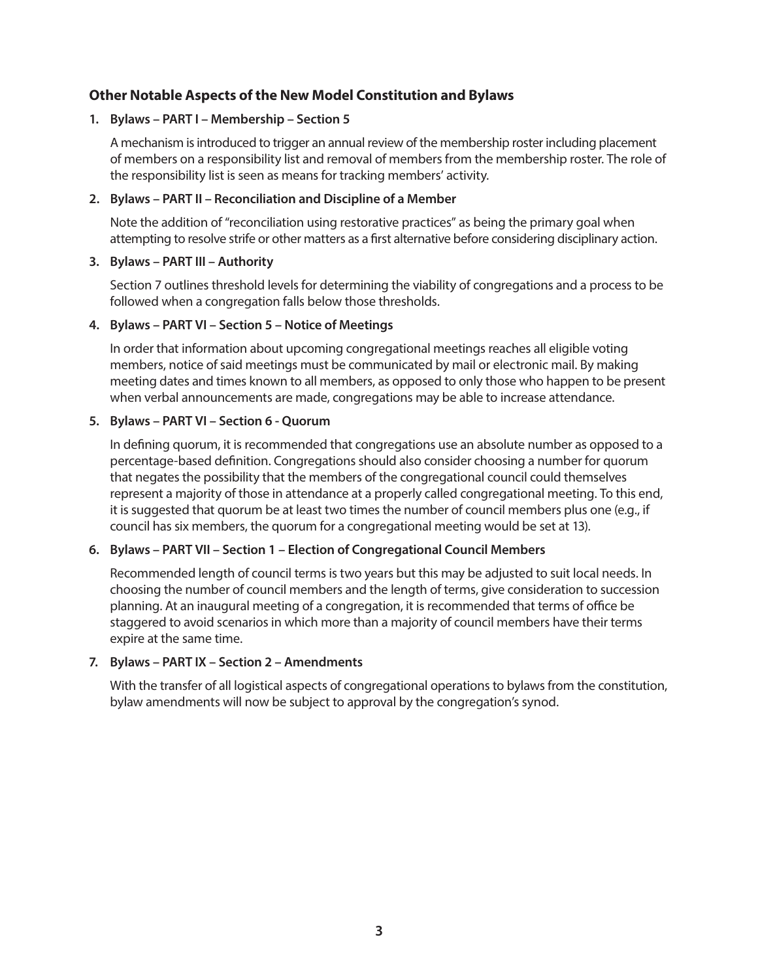## **Other Notable Aspects of the New Model Constitution and Bylaws**

#### **1. Bylaws – PART I – Membership – Section 5**

A mechanism is introduced to trigger an annual review of the membership roster including placement of members on a responsibility list and removal of members from the membership roster. The role of the responsibility list is seen as means for tracking members' activity.

#### **2. Bylaws – PART II – Reconciliation and Discipline of a Member**

Note the addition of "reconciliation using restorative practices" as being the primary goal when attempting to resolve strife or other matters as a first alternative before considering disciplinary action.

#### **3. Bylaws – PART III – Authority**

Section 7 outlines threshold levels for determining the viability of congregations and a process to be followed when a congregation falls below those thresholds.

#### **4. Bylaws – PART VI – Section 5 – Notice of Meetings**

In order that information about upcoming congregational meetings reaches all eligible voting members, notice of said meetings must be communicated by mail or electronic mail. By making meeting dates and times known to all members, as opposed to only those who happen to be present when verbal announcements are made, congregations may be able to increase attendance.

#### **5. Bylaws – PART VI – Section 6 - Quorum**

In defining quorum, it is recommended that congregations use an absolute number as opposed to a percentage-based definition. Congregations should also consider choosing a number for quorum that negates the possibility that the members of the congregational council could themselves represent a majority of those in attendance at a properly called congregational meeting. To this end, it is suggested that quorum be at least two times the number of council members plus one (e.g., if council has six members, the quorum for a congregational meeting would be set at 13).

#### **6. Bylaws – PART VII – Section 1 – Election of Congregational Council Members**

Recommended length of council terms is two years but this may be adjusted to suit local needs. In choosing the number of council members and the length of terms, give consideration to succession planning. At an inaugural meeting of a congregation, it is recommended that terms of office be staggered to avoid scenarios in which more than a majority of council members have their terms expire at the same time.

#### **7. Bylaws – PART IX – Section 2 – Amendments**

With the transfer of all logistical aspects of congregational operations to bylaws from the constitution, bylaw amendments will now be subject to approval by the congregation's synod.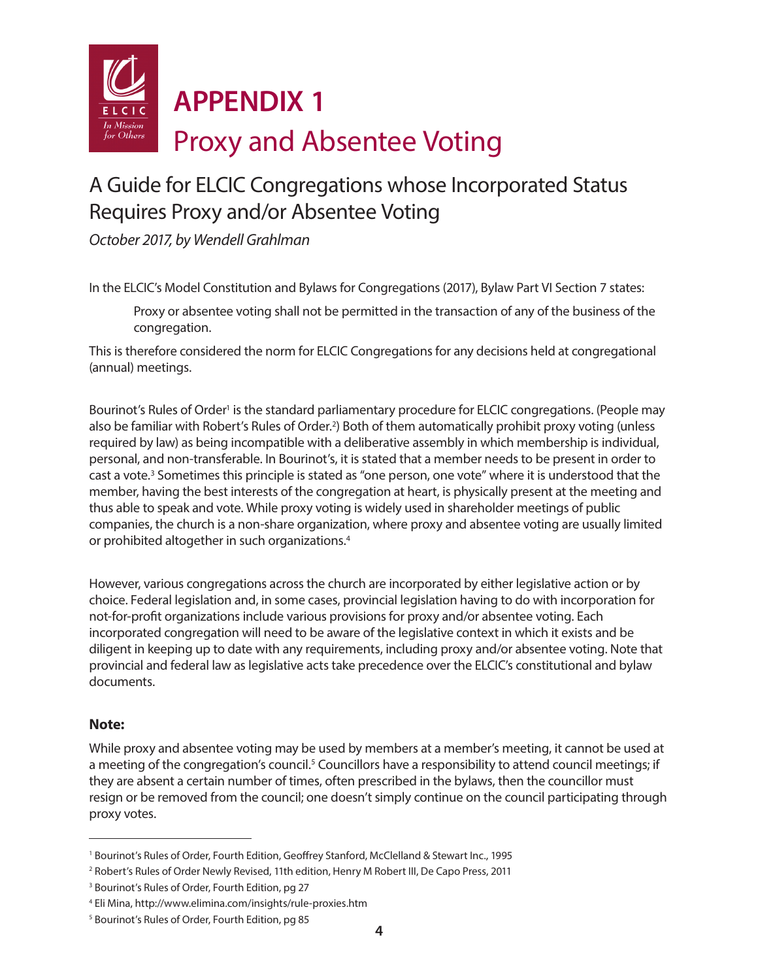

# A Guide for ELCIC Congregations whose Incorporated Status Requires Proxy and/or Absentee Voting

*October 2017, by Wendell Grahlman*

In the ELCIC's Model Constitution and Bylaws for Congregations (2017), Bylaw Part VI Section 7 states:

 Proxy or absentee voting shall not be permitted in the transaction of any of the business of the congregation.

This is therefore considered the norm for ELCIC Congregations for any decisions held at congregational (annual) meetings.

Bourinot's Rules of Order<sup>1</sup> is the standard parliamentary procedure for ELCIC congregations. (People may also be familiar with Robert's Rules of Order.<sup>2</sup>) Both of them automatically prohibit proxy voting (unless required by law) as being incompatible with a deliberative assembly in which membership is individual, personal, and non-transferable. In Bourinot's, it is stated that a member needs to be present in order to cast a vote.<sup>3</sup> Sometimes this principle is stated as "one person, one vote" where it is understood that the member, having the best interests of the congregation at heart, is physically present at the meeting and thus able to speak and vote. While proxy voting is widely used in shareholder meetings of public companies, the church is a non-share organization, where proxy and absentee voting are usually limited or prohibited altogether in such organizations.4

However, various congregations across the church are incorporated by either legislative action or by choice. Federal legislation and, in some cases, provincial legislation having to do with incorporation for not-for-profit organizations include various provisions for proxy and/or absentee voting. Each incorporated congregation will need to be aware of the legislative context in which it exists and be diligent in keeping up to date with any requirements, including proxy and/or absentee voting. Note that provincial and federal law as legislative acts take precedence over the ELCIC's constitutional and bylaw documents.

#### **Note:**

While proxy and absentee voting may be used by members at a member's meeting, it cannot be used at a meeting of the congregation's council.<sup>5</sup> Councillors have a responsibility to attend council meetings; if they are absent a certain number of times, often prescribed in the bylaws, then the councillor must resign or be removed from the council; one doesn't simply continue on the council participating through proxy votes.

<sup>1</sup> Bourinot's Rules of Order, Fourth Edition, Geoffrey Stanford, McClelland & Stewart Inc., 1995

<sup>2</sup> Robert's Rules of Order Newly Revised, 11th edition, Henry M Robert III, De Capo Press, 2011

<sup>&</sup>lt;sup>3</sup> Bourinot's Rules of Order, Fourth Edition, pg 27

<sup>4</sup> Eli Mina, http://www.elimina.com/insights/rule-proxies.htm

<sup>5</sup> Bourinot's Rules of Order, Fourth Edition, pg 85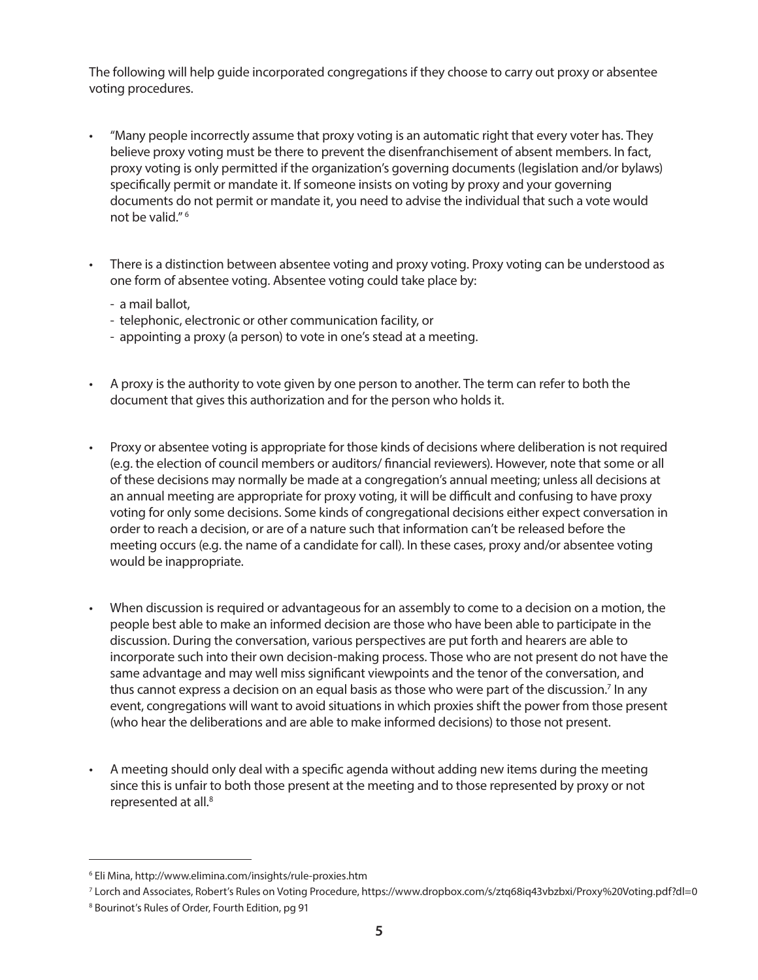The following will help guide incorporated congregations if they choose to carry out proxy or absentee voting procedures.

- "Many people incorrectly assume that proxy voting is an automatic right that every voter has. They believe proxy voting must be there to prevent the disenfranchisement of absent members. In fact, proxy voting is only permitted if the organization's governing documents (legislation and/or bylaws) specifically permit or mandate it. If someone insists on voting by proxy and your governing documents do not permit or mandate it, you need to advise the individual that such a vote would not be valid." 6
- There is a distinction between absentee voting and proxy voting. Proxy voting can be understood as one form of absentee voting. Absentee voting could take place by:
	- a mail ballot,
	- telephonic, electronic or other communication facility, or
	- appointing a proxy (a person) to vote in one's stead at a meeting.
- A proxy is the authority to vote given by one person to another. The term can refer to both the document that gives this authorization and for the person who holds it.
- Proxy or absentee voting is appropriate for those kinds of decisions where deliberation is not required (e.g. the election of council members or auditors/ financial reviewers). However, note that some or all of these decisions may normally be made at a congregation's annual meeting; unless all decisions at an annual meeting are appropriate for proxy voting, it will be difficult and confusing to have proxy voting for only some decisions. Some kinds of congregational decisions either expect conversation in order to reach a decision, or are of a nature such that information can't be released before the meeting occurs (e.g. the name of a candidate for call). In these cases, proxy and/or absentee voting would be inappropriate.
- When discussion is required or advantageous for an assembly to come to a decision on a motion, the people best able to make an informed decision are those who have been able to participate in the discussion. During the conversation, various perspectives are put forth and hearers are able to incorporate such into their own decision-making process. Those who are not present do not have the same advantage and may well miss significant viewpoints and the tenor of the conversation, and thus cannot express a decision on an equal basis as those who were part of the discussion.<sup>7</sup> In any event, congregations will want to avoid situations in which proxies shift the power from those present (who hear the deliberations and are able to make informed decisions) to those not present.
- A meeting should only deal with a specific agenda without adding new items during the meeting since this is unfair to both those present at the meeting and to those represented by proxy or not represented at all.<sup>8</sup>

<sup>6</sup> Eli Mina, http://www.elimina.com/insights/rule-proxies.htm

<sup>7</sup> Lorch and Associates, Robert's Rules on Voting Procedure, https://www.dropbox.com/s/ztq68iq43vbzbxi/Proxy%20Voting.pdf?dl=0

<sup>8</sup> Bourinot's Rules of Order, Fourth Edition, pg 91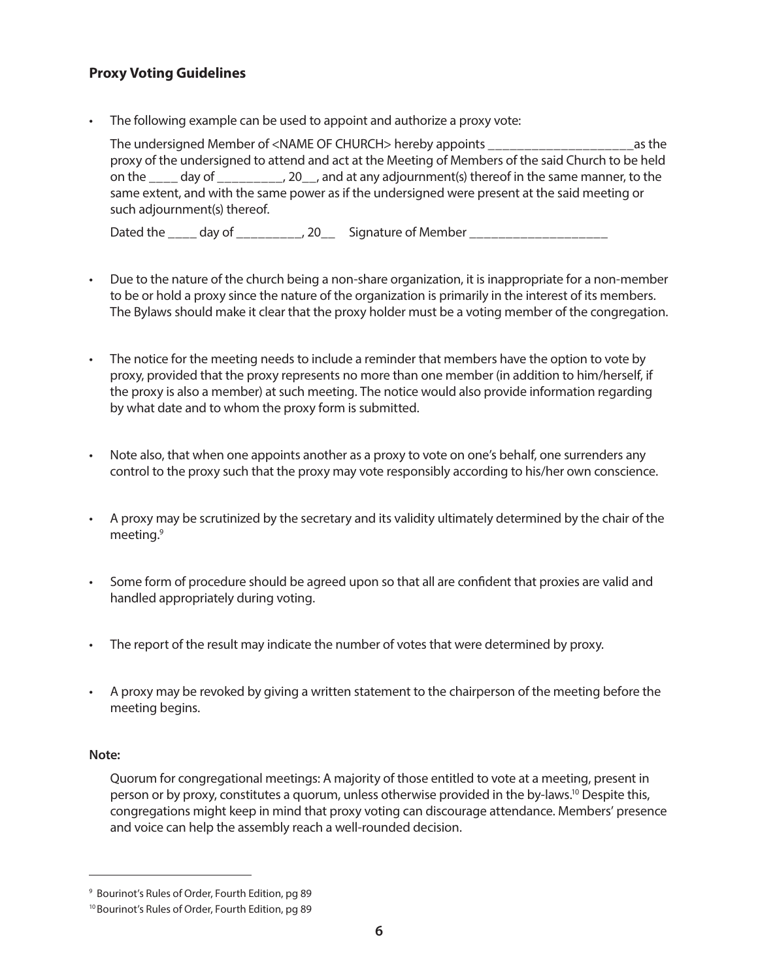## **Proxy Voting Guidelines**

• The following example can be used to appoint and authorize a proxy vote:

The undersigned Member of <NAME OF CHURCH> hereby appoints \_\_\_\_\_\_\_\_\_\_\_\_\_\_\_\_\_\_\_\_as the proxy of the undersigned to attend and act at the Meeting of Members of the said Church to be held on the \_\_\_\_ day of \_\_\_\_\_\_\_\_\_, 20\_\_, and at any adjournment(s) thereof in the same manner, to the same extent, and with the same power as if the undersigned were present at the said meeting or such adjournment(s) thereof.

Dated the \_\_\_\_ day of \_\_\_\_\_\_\_\_\_, 20\_\_ Signature of Member \_\_\_\_\_\_\_\_\_\_\_\_\_\_\_\_\_\_\_\_\_\_

- Due to the nature of the church being a non-share organization, it is inappropriate for a non-member to be or hold a proxy since the nature of the organization is primarily in the interest of its members. The Bylaws should make it clear that the proxy holder must be a voting member of the congregation.
- The notice for the meeting needs to include a reminder that members have the option to vote by proxy, provided that the proxy represents no more than one member (in addition to him/herself, if the proxy is also a member) at such meeting. The notice would also provide information regarding by what date and to whom the proxy form is submitted.
- Note also, that when one appoints another as a proxy to vote on one's behalf, one surrenders any control to the proxy such that the proxy may vote responsibly according to his/her own conscience.
- A proxy may be scrutinized by the secretary and its validity ultimately determined by the chair of the meeting.9
- Some form of procedure should be agreed upon so that all are confident that proxies are valid and handled appropriately during voting.
- The report of the result may indicate the number of votes that were determined by proxy.
- A proxy may be revoked by giving a written statement to the chairperson of the meeting before the meeting begins.

#### **Note:**

Quorum for congregational meetings: A majority of those entitled to vote at a meeting, present in person or by proxy, constitutes a quorum, unless otherwise provided in the by-laws.10 Despite this, congregations might keep in mind that proxy voting can discourage attendance. Members' presence and voice can help the assembly reach a well-rounded decision.

<sup>9</sup> Bourinot's Rules of Order, Fourth Edition, pg 89

<sup>10</sup> Bourinot's Rules of Order, Fourth Edition, pg 89